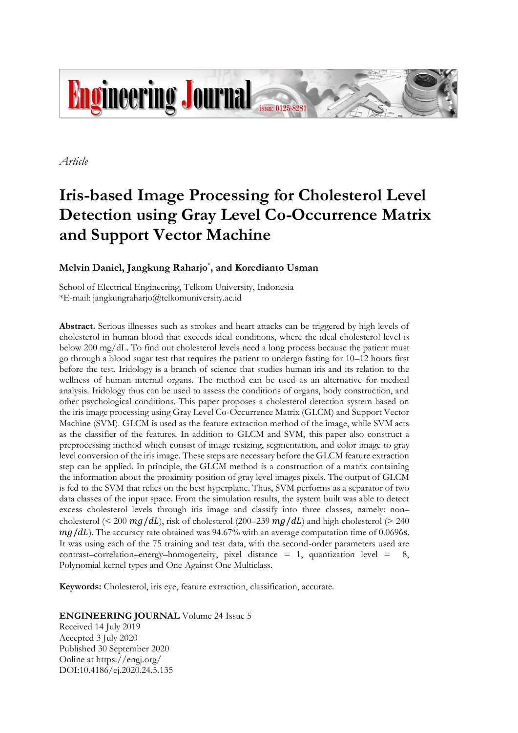

*Article*

# **Iris-based Image Processing for Cholesterol Level Detection using Gray Level Co-Occurrence Matrix and Support Vector Machine**

# **Melvin Daniel, Jangkung Raharjo**\* **, and Koredianto Usman**

School of Electrical Engineering, Telkom University, Indonesia \*E-mail: jangkungraharjo@telkomuniversity.ac.id

**Abstract.** Serious illnesses such as strokes and heart attacks can be triggered by high levels of cholesterol in human blood that exceeds ideal conditions, where the ideal cholesterol level is below 200 mg/dL. To find out cholesterol levels need a long process because the patient must go through a blood sugar test that requires the patient to undergo fasting for 10–12 hours first before the test. Iridology is a branch of science that studies human iris and its relation to the wellness of human internal organs. The method can be used as an alternative for medical analysis. Iridology thus can be used to assess the conditions of organs, body construction, and other psychological conditions. This paper proposes a cholesterol detection system based on the iris image processing using Gray Level Co-Occurrence Matrix (GLCM) and Support Vector Machine (SVM). GLCM is used as the feature extraction method of the image, while SVM acts as the classifier of the features. In addition to GLCM and SVM, this paper also construct a preprocessing method which consist of image resizing, segmentation, and color image to gray level conversion of the iris image. These steps are necessary before the GLCM feature extraction step can be applied. In principle, the GLCM method is a construction of a matrix containing the information about the proximity position of gray level images pixels. The output of GLCM is fed to the SVM that relies on the best hyperplane. Thus, SVM performs as a separator of two data classes of the input space. From the simulation results, the system built was able to detect excess cholesterol levels through iris image and classify into three classes, namely: non– cholesterol (< 200  $mg/dL$ ), risk of cholesterol (200–239  $mg/dL$ ) and high cholesterol (> 240  $mg/dL$ ). The accuracy rate obtained was 94.67% with an average computation time of 0.0696s. It was using each of the 75 training and test data, with the second-order parameters used are contrast–correlation–energy–homogeneity, pixel distance = 1, quantization level = 8, Polynomial kernel types and One Against One Multiclass.

**Keywords:** Cholesterol, iris eye, feature extraction, classification, accurate.

**ENGINEERING JOURNAL** Volume 24 Issue 5

Received 14 July 2019 Accepted 3 July 2020 Published 30 September 2020 Online at https://engj.org/ DOI:10.4186/ej.2020.24.5.135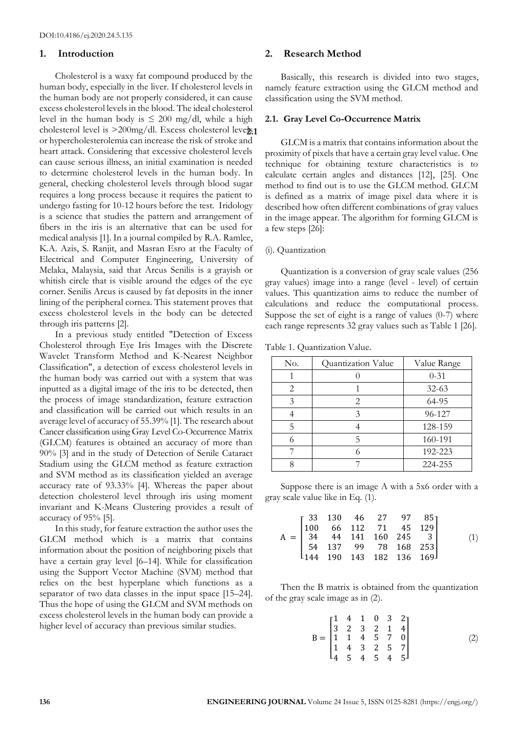#### **1. Introduction**

Cholesterol is a waxy fat compound produced by the human body, especially in the liver. If cholesterol levels in the human body are not properly considered, it can cause excess cholesterol levels in the blood. The ideal cholesterol level in the human body is  $\leq 200$  mg/dl, while a high cholesterol level is >200mg/dl. Excess cholesterol leve<sub>28.1</sub> or hypercholesterolemia can increase the risk of stroke and heart attack. Considering that excessive cholesterol levels can cause serious illness, an initial examination is needed to determine cholesterol levels in the human body. In general, checking cholesterol levels through blood sugar requires a long process because it requires the patient to undergo fasting for 10-12 hours before the test. Iridology is a science that studies the pattern and arrangement of fibers in the iris is an alternative that can be used for medical analysis [1]. In a journal compiled by R.A. Ramlee, K.A. Azis, S. Ranjit, and Masran Esro at the Faculty of Electrical and Computer Engineering, University of Melaka, Malaysia, said that Arcus Senilis is a grayish or whitish circle that is visible around the edges of the eye corner. Senilis Arcus is caused by fat deposits in the inner lining of the peripheral cornea. This statement proves that excess cholesterol levels in the body can be detected through iris patterns [2].

In a previous study entitled "Detection of Excess Cholesterol through Eye Iris Images with the Discrete Wavelet Transform Method and K-Nearest Neighbor Classification", a detection of excess cholesterol levels in the human body was carried out with a system that was inputted as a digital image of the iris to be detected, then the process of image standardization, feature extraction and classification will be carried out which results in an average level of accuracy of 55.39% [1]. The research about Cancer classification using Gray Level Co-Occurrence Matrix (GLCM) features is obtained an accuracy of more than 90% [3] and in the study of Detection of Senile Cataract Stadium using the GLCM method as feature extraction and SVM method as its classification yielded an average accuracy rate of 93.33% [4]. Whereas the paper about detection cholesterol level through iris using moment invariant and K-Means Clustering provides a result of accuracy of 95% [5].

In this study, for feature extraction the author uses the GLCM method which is a matrix that contains information about the position of neighboring pixels that have a certain gray level [6–14]. While for classification using the Support Vector Machine (SVM) method that relies on the best hyperplane which functions as a separator of two data classes in the input space [15–24]. Thus the hope of using the GLCM and SVM methods on excess cholesterol levels in the human body can provide a higher level of accuracy than previous similar studies.

## **2. Research Method**

Basically, this research is divided into two stages, namely feature extraction using the GLCM method and classification using the SVM method.

#### **2.1. Gray Level Co-Occurrence Matrix**

GLCM is a matrix that contains information about the proximity of pixels that have a certain gray level value. One technique for obtaining texture characteristics is to calculate certain angles and distances [12], [25]. One method to find out is to use the GLCM method. GLCM is defined as a matrix of image pixel data where it is described how often different combinations of gray values in the image appear. The algorithm for forming GLCM is a few steps [26]:

#### (i). Quantization

Quantization is a conversion of gray scale values (256 gray values) image into a range (level - level) of certain values. This quantization aims to reduce the number of calculations and reduce the computational process. Suppose the set of eight is a range of values (0-7) where each range represents 32 gray values such as Table 1 [26].

Table 1. Quantization Value.

| No. | Quantization Value | Value Range |
|-----|--------------------|-------------|
|     |                    | $0 - 31$    |
| 2   |                    | $32 - 63$   |
| 3   | 2                  | 64-95       |
|     | 3                  | 96-127      |
| 5   |                    | 128-159     |
| 6   | 5                  | 160-191     |
|     |                    | 192-223     |
|     |                    | 224-255     |

Suppose there is an image A with a 5x6 order with a gray scale value like in Eq. (1).

$$
A = \begin{bmatrix} 33 & 130 & 46 & 27 & 97 & 85 \\ 100 & 66 & 112 & 71 & 45 & 129 \\ 34 & 44 & 141 & 160 & 245 & 3 \\ 54 & 137 & 99 & 78 & 168 & 253 \\ 144 & 190 & 143 & 182 & 136 & 169 \end{bmatrix}
$$
 (1)

Then the B matrix is obtained from the quantization of the gray scale image as in (2).

$$
B = \begin{bmatrix} 1 & 4 & 1 & 0 & 3 & 2 \\ 3 & 2 & 3 & 2 & 1 & 4 \\ 1 & 1 & 4 & 5 & 7 & 0 \\ 1 & 4 & 3 & 2 & 5 & 7 \\ 4 & 5 & 4 & 5 & 4 & 5 \end{bmatrix}
$$
 (2)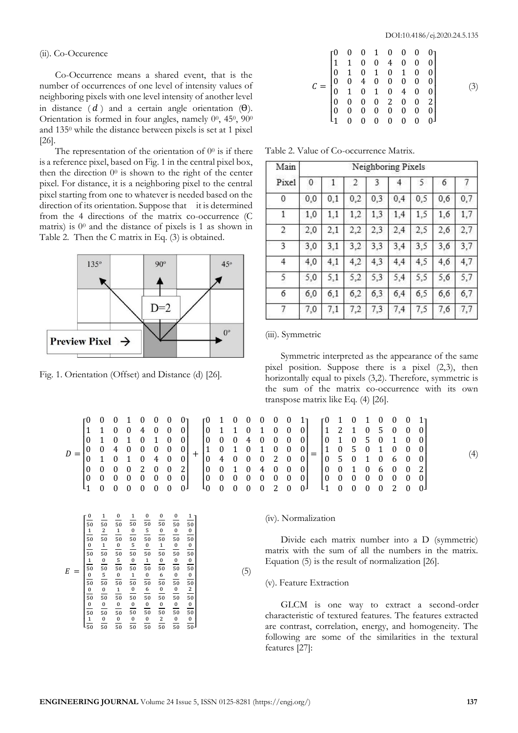#### (ii). Co-Occurence

Co-Occurrence means a shared event, that is the number of occurrences of one level of intensity values of neighboring pixels with one level intensity of another level in distance  $(d)$  and a certain angle orientation  $(\theta)$ . Orientation is formed in four angles, namely  $0^0$ ,  $45^0$ ,  $90^0$ and 135<sup>0</sup> while the distance between pixels is set at 1 pixel [26].

The representation of the orientation of  $0<sup>0</sup>$  is if there is a reference pixel, based on Fig. 1 in the central pixel box, then the direction  $0^0$  is shown to the right of the center pixel. For distance, it is a neighboring pixel to the central pixel starting from one to whatever is needed based on the direction of its orientation. Suppose that it is determined from the 4 directions of the matrix co-occurrence (C matrix) is  $0^0$  and the distance of pixels is 1 as shown in Table 2. Then the C matrix in Eq. (3) is obtained.



Fig. 1. Orientation (Offset) and Distance (d) [26].

 $E =$ 

 $\lfloor$ I ł I I ł ł I ł ł ł ł  $\frac{50}{1}$ 0 1 50 0 50

50 0

50 1 50 0 50 5

50 0 50 5 50 0

50 0 50 0 50 1

50 0 50 50

50 1

50 0 50 50

2 50 1

 $\overline{0}$ 50  $\overline{0}$ 50 0

1 50 0

1 50 0 50 0 50

0 50 5

50 0 50 1 50 0

50 50 0 50 6

1 50 0 50 6 50 0

50 0 50 0 50 0

50 50 50

0 50 0 50 2 50

5 50 0

0 50 1

0 50 0

50 0

50 0  $\overline{50}$ 

50 0

50 0

50 0 50 0

50 50 0  $\overline{50}$ 0  $\overline{\epsilon}$ <sup>0</sup> Ι 1 Ί J Ι I 1 Ι ł I J 1

1  $50$ 

> $\overline{0}$ 50 0

0 50

 $\overline{0}$ 50 2

| $\begin{bmatrix} 0 & 0 & 0 & 1 & 0 & 0 & 0 & 0 \\ 1 & 1 & 0 & 0 & 4 & 0 & 0 & 0 \\ 0 & 1 & 0 & 1 & 0 & 1 & 0 & 0 \\ 0 & 0 & 4 & 0 & 0 & 0 & 0 & 0 \\ 0 & 1 & 0 & 1 & 0 & 4 & 0 & 0 \\ 0 & 0 & 0 & 0 & 2 & 0 & 0 & 2 \\ 0 & 0 & 0 & 0 & 0 & 0 & 0 & 0 \\ 1 & 0 & 0 & 0 & 0 & 0 & 0 & 0 \end{bmatrix}$ |  |  |  |  |  |
|------------------------------------------------------------------------------------------------------------------------------------------------------------------------------------------------------------------------------------------------------------------------------------------------------|--|--|--|--|--|
|                                                                                                                                                                                                                                                                                                      |  |  |  |  |  |
|                                                                                                                                                                                                                                                                                                      |  |  |  |  |  |
|                                                                                                                                                                                                                                                                                                      |  |  |  |  |  |
|                                                                                                                                                                                                                                                                                                      |  |  |  |  |  |
|                                                                                                                                                                                                                                                                                                      |  |  |  |  |  |
|                                                                                                                                                                                                                                                                                                      |  |  |  |  |  |

Table 2. Value of Co-occurrence Matrix.

| Main  |     | Neighboring Pixels |     |     |     |     |     |     |  |  |  |  |  |  |  |
|-------|-----|--------------------|-----|-----|-----|-----|-----|-----|--|--|--|--|--|--|--|
| Pixel | 0   | 1                  | 2   | 3   | 4   | 5   | б   |     |  |  |  |  |  |  |  |
| 0     | 0,0 | 0,1                | 0,2 | 0,3 | 0,4 | 0,5 | 0,6 | 0,7 |  |  |  |  |  |  |  |
| 1     | 1,0 | 1,1                | 1,2 | 1,3 | 1,4 | 1,5 | 1,6 | 1,7 |  |  |  |  |  |  |  |
| 2     | 2,0 | 2,1                | 2,2 | 2,3 | 2,4 | 2,5 | 2,6 | 2,7 |  |  |  |  |  |  |  |
| 3     | 3,0 | 3,1                | 3,2 | 3,3 | 3,4 | 3,5 | 3,6 | 3,7 |  |  |  |  |  |  |  |
| 4     | 4,0 | 4,1                | 4,2 | 4,3 | 4,4 | 4,5 | 4,6 | 4,7 |  |  |  |  |  |  |  |
| 5     | 5,0 | 5,1                | 5,2 | 5,3 | 5,4 | 5,5 | 5,6 | 5,7 |  |  |  |  |  |  |  |
| 6     | 6,0 | 6,1                | 6,2 | 6,3 | 6,4 | 6,5 | 6,6 | 6,7 |  |  |  |  |  |  |  |
| 7     | 7,0 | 7,1                | 7,2 | 7,3 | 7,4 | 7,5 | 7,6 | 7,7 |  |  |  |  |  |  |  |

#### (iii). Symmetric

Symmetric interpreted as the appearance of the same pixel position. Suppose there is a pixel (2,3), then horizontally equal to pixels  $(3,2)$ . Therefore, symmetric is the sum of the matrix co-occurrence with its own transpose matrix like Eq. (4) [26].

|       |          | г0 0                                   |         |                   |                  |    |                 |              |                                               |                                               |   |                     |            | $\begin{bmatrix} 0 & 1 & 0 & 0 & 0 & 0 & 0 & 1 \end{bmatrix}$ |                                       |                                       | $\begin{bmatrix} 0 & 1 & 0 & 1 \end{bmatrix}$ |                |              |            | $0\quad 0\quad 0$ |  |     |
|-------|----------|----------------------------------------|---------|-------------------|------------------|----|-----------------|--------------|-----------------------------------------------|-----------------------------------------------|---|---------------------|------------|---------------------------------------------------------------|---------------------------------------|---------------------------------------|-----------------------------------------------|----------------|--------------|------------|-------------------|--|-----|
|       |          |                                        |         | $\bf{0}$          | $\bf{0}$         |    | $\vert 0 \vert$ |              | $1\quad1\quad0$                               |                                               |   |                     | $0\quad 0$ | $\vert 0 \vert$                                               |                                       | $\begin{vmatrix} 1 & 2 \end{vmatrix}$ |                                               | $1 \quad 0$    |              | 5 0 0      |                   |  |     |
|       |          |                                        |         |                   | $\boldsymbol{0}$ |    |                 |              | $\begin{bmatrix} 0 & 0 & 0 \end{bmatrix}$     | $\overline{4}$                                |   | $0\quad 0\quad 0$   |            | $\overline{0}$                                                | $10^{-4}$                             |                                       |                                               | 0 <sub>5</sub> | $\mathbf{0}$ |            |                   |  |     |
| $D =$ |          | $\cdot$ 0                              | 4 0 0 0 |                   | $\overline{0}$   |    |                 |              |                                               | $\begin{bmatrix} 1 & 0 & 1 & 0 \end{bmatrix}$ |   | $1 \quad 0 \quad 0$ |            | 0 <sup>1</sup>                                                |                                       |                                       | $\begin{pmatrix} 1 & 0 & 5 & 0 \end{pmatrix}$ |                |              | 1 0 0      |                   |  | (4) |
|       |          | $\begin{array}{ccc} 0 & 1 \end{array}$ |         | 4                 | $\theta$         |    |                 |              | $\begin{bmatrix} 0 & 4 & 0 & 0 \end{bmatrix}$ |                                               |   | $0\quad 2\quad 0$   |            |                                                               | $0$   $10$                            |                                       | $0\quad 1$                                    |                |              | $0\quad 6$ | $\Omega$          |  |     |
|       | $\bf{0}$ |                                        |         | $\bf{0}$          | $\boldsymbol{0}$ |    | $ 0\rangle$     | $\mathbf{0}$ |                                               |                                               | 4 | $0\quad 0$          |            | 0 <sup>1</sup>                                                | $\vert 0 \rangle$                     |                                       |                                               |                |              | 6 0        |                   |  |     |
|       | $\bf{0}$ | $\theta$                               |         | $0\quad 0\quad 0$ |                  | 01 |                 |              | $\begin{bmatrix} 0 & 0 & 0 & 0 \end{bmatrix}$ |                                               |   | $0\quad 0\quad 0$   |            | 0 <sup>1</sup>                                                | $\begin{bmatrix} 0 & 0 \end{bmatrix}$ |                                       |                                               | $0\quad 0$     | $0\quad 0$   |            | $\bf{0}$          |  |     |
|       |          |                                        |         |                   |                  |    |                 |              |                                               |                                               |   |                     |            |                                                               |                                       |                                       |                                               |                |              |            |                   |  |     |

(5)

(iv). Normalization

Divide each matrix number into a D (symmetric) matrix with the sum of all the numbers in the matrix. Equation (5) is the result of normalization [26].

(v). Feature Extraction

GLCM is one way to extract a second-order characteristic of textured features. The features extracted are contrast, correlation, energy, and homogeneity. The following are some of the similarities in the textural features [27]: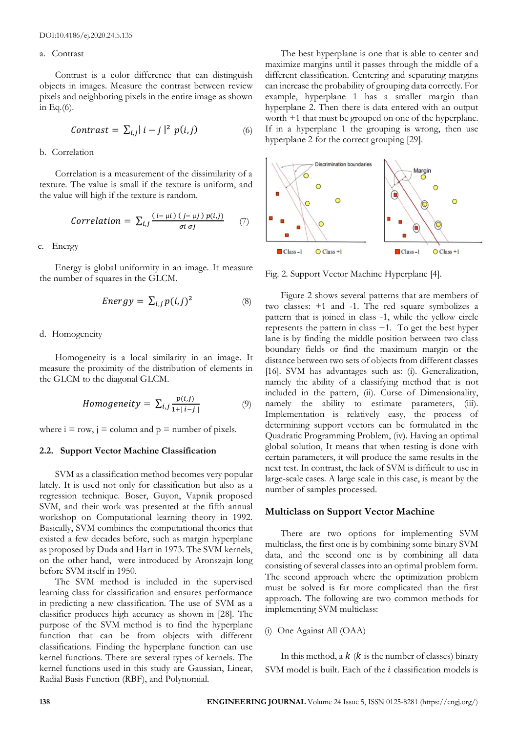#### a. Contrast

Contrast is a color difference that can distinguish objects in images. Measure the contrast between review pixels and neighboring pixels in the entire image as shown in Eq.(6).

$$
Contrast = \sum_{i,j} |i-j|^2 p(i,j) \tag{6}
$$

#### b. Correlation

Correlation is a measurement of the dissimilarity of a texture. The value is small if the texture is uniform, and the value will high if the texture is random.

$$
Correlation = \sum_{i,j} \frac{(i-\mu i)(j-\mu j)p(i,j)}{\sigma i \sigma j} \qquad (7)
$$

#### c. Energy

Energy is global uniformity in an image. It measure the number of squares in the GLCM.

$$
Energy = \sum_{i,j} p(i,j)^2 \tag{8}
$$

#### d. Homogeneity

Homogeneity is a local similarity in an image. It measure the proximity of the distribution of elements in the GLCM to the diagonal GLCM.

$$
Homogeneity = \sum_{i,j} \frac{p(i,j)}{1+|i-j|} \tag{9}
$$

where  $i = row$ ,  $j = column$  and  $p = number$  of pixels.

#### **2.2. Support Vector Machine Classification**

SVM as a classification method becomes very popular lately. It is used not only for classification but also as a regression technique. Boser, Guyon, Vapnik proposed SVM, and their work was presented at the fifth annual workshop on Computational learning theory in 1992. Basically, SVM combines the computational theories that existed a few decades before, such as margin hyperplane as proposed by Duda and Hart in 1973. The SVM kernels, on the other hand, were introduced by Aronszajn long before SVM itself in 1950.

The SVM method is included in the supervised learning class for classification and ensures performance in predicting a new classification. The use of SVM as a classifier produces high accuracy as shown in [28]. The purpose of the SVM method is to find the hyperplane function that can be from objects with different classifications. Finding the hyperplane function can use kernel functions. There are several types of kernels. The kernel functions used in this study are Gaussian, Linear, Radial Basis Function (RBF), and Polynomial.

The best hyperplane is one that is able to center and maximize margins until it passes through the middle of a different classification. Centering and separating margins can increase the probability of grouping data correctly. For example, hyperplane 1 has a smaller margin than hyperplane 2. Then there is data entered with an output worth +1 that must be grouped on one of the hyperplane. If in a hyperplane 1 the grouping is wrong, then use hyperplane 2 for the correct grouping [29].



Fig. 2. Support Vector Machine Hyperplane [4].

Figure 2 shows several patterns that are members of two classes: +1 and -1. The red square symbolizes a pattern that is joined in class -1, while the yellow circle represents the pattern in class +1. To get the best hyper lane is by finding the middle position between two class boundary fields or find the maximum margin or the distance between two sets of objects from different classes [16]. SVM has advantages such as: (i). Generalization, namely the ability of a classifying method that is not included in the pattern, (ii). Curse of Dimensionality, namely the ability to estimate parameters, (iii). Implementation is relatively easy, the process of determining support vectors can be formulated in the Quadratic Programming Problem, (iv). Having an optimal global solution, It means that when testing is done with certain parameters, it will produce the same results in the next test. In contrast, the lack of SVM is difficult to use in large-scale cases. A large scale in this case, is meant by the number of samples processed.

## **Multiclass on Support Vector Machine**

There are two options for implementing SVM multiclass, the first one is by combining some binary SVM data, and the second one is by combining all data consisting of several classes into an optimal problem form. The second approach where the optimization problem must be solved is far more complicated than the first approach. The following are two common methods for implementing SVM multiclass:

#### (i) One Against All (OAA)

In this method, a  $k$  ( $k$  is the number of classes) binary SVM model is built. Each of the  $i$  classification models is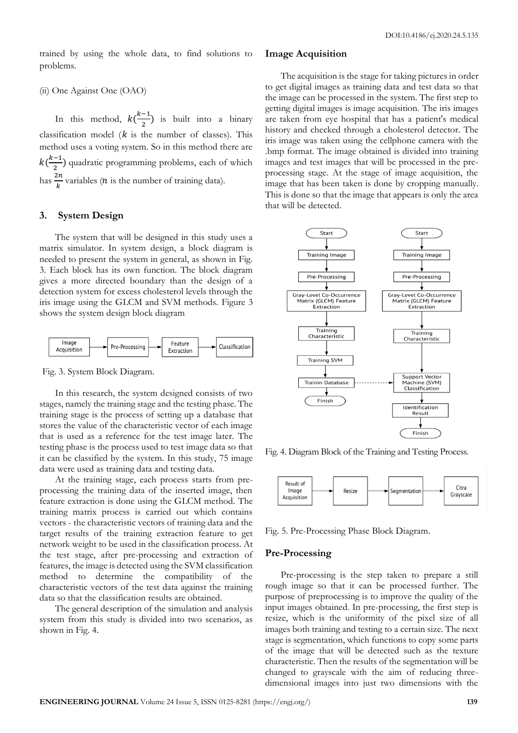trained by using the whole data, to find solutions to problems.

## (ii) One Against One (OAO)

In this method,  $k\left(\frac{k-1}{2}\right)$  $\frac{1}{2}$ ) is built into a binary classification model ( $k$  is the number of classes). This method uses a voting system. So in this method there are  $k\left(\frac{k-1}{2}\right)$  $\frac{1}{2}$ ) quadratic programming problems, each of which has  $\frac{2n}{k}$  variables (*n* is the number of training data).

## **3. System Design**

The system that will be designed in this study uses a matrix simulator. In system design, a block diagram is needed to present the system in general, as shown in Fig. 3. Each block has its own function. The block diagram gives a more directed boundary than the design of a detection system for excess cholesterol levels through the iris image using the GLCM and SVM methods. Figure 3 shows the system design block diagram



Fig. 3. System Block Diagram.

In this research, the system designed consists of two stages, namely the training stage and the testing phase. The training stage is the process of setting up a database that stores the value of the characteristic vector of each image that is used as a reference for the test image later. The testing phase is the process used to test image data so that it can be classified by the system. In this study, 75 image data were used as training data and testing data.

At the training stage, each process starts from preprocessing the training data of the inserted image, then feature extraction is done using the GLCM method. The training matrix process is carried out which contains vectors - the characteristic vectors of training data and the target results of the training extraction feature to get network weight to be used in the classification process. At the test stage, after pre-processing and extraction of features, the image is detected using the SVM classification method to determine the compatibility of the characteristic vectors of the test data against the training data so that the classification results are obtained.

The general description of the simulation and analysis system from this study is divided into two scenarios, as shown in Fig. 4.

## **Image Acquisition**

The acquisition is the stage for taking pictures in order to get digital images as training data and test data so that the image can be processed in the system. The first step to getting digital images is image acquisition. The iris images are taken from eye hospital that has a patient's medical history and checked through a cholesterol detector. The iris image was taken using the cellphone camera with the .bmp format. The image obtained is divided into training images and test images that will be processed in the preprocessing stage. At the stage of image acquisition, the image that has been taken is done by cropping manually. This is done so that the image that appears is only the area that will be detected.



Fig. 4. Diagram Block of the Training and Testing Process.



Fig. 5. Pre-Processing Phase Block Diagram.

#### **Pre-Processing**

Pre-processing is the step taken to prepare a still rough image so that it can be processed further. The purpose of preprocessing is to improve the quality of the input images obtained. In pre-processing, the first step is resize, which is the uniformity of the pixel size of all images both training and testing to a certain size. The next stage is segmentation, which functions to copy some parts of the image that will be detected such as the texture characteristic. Then the results of the segmentation will be changed to grayscale with the aim of reducing threedimensional images into just two dimensions with the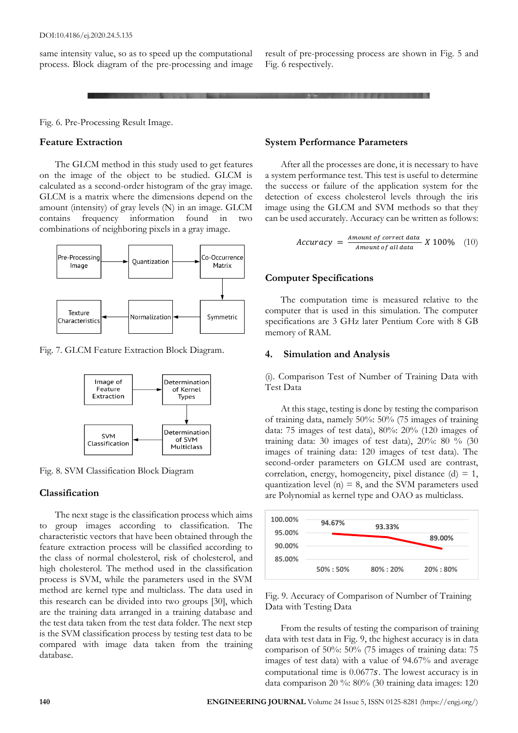same intensity value, so as to speed up the computational process. Block diagram of the pre-processing and image result of pre-processing process are shown in Fig. 5 and Fig. 6 respectively.

Fig. 6. Pre-Processing Result Image.

## **Feature Extraction**

The GLCM method in this study used to get features on the image of the object to be studied. GLCM is calculated as a second-order histogram of the gray image. GLCM is a matrix where the dimensions depend on the amount (intensity) of gray levels (N) in an image. GLCM contains frequency information found in two combinations of neighboring pixels in a gray image.



Fig. 7. GLCM Feature Extraction Block Diagram.



Fig. 8. SVM Classification Block Diagram

## **Classification**

The next stage is the classification process which aims to group images according to classification. The characteristic vectors that have been obtained through the feature extraction process will be classified according to the class of normal cholesterol, risk of cholesterol, and high cholesterol. The method used in the classification process is SVM, while the parameters used in the SVM method are kernel type and multiclass. The data used in this research can be divided into two groups [30], which are the training data arranged in a training database and the test data taken from the test data folder. The next step is the SVM classification process by testing test data to be compared with image data taken from the training database.

## **System Performance Parameters**

After all the processes are done, it is necessary to have a system performance test. This test is useful to determine the success or failure of the application system for the detection of excess cholesterol levels through the iris image using the GLCM and SVM methods so that they can be used accurately. Accuracy can be written as follows:

$$
Accuracy = \frac{Amount of correct data}{Amount of all data} \times 100\% \quad (10)
$$

## **Computer Specifications**

The computation time is measured relative to the computer that is used in this simulation. The computer specifications are 3 GHz later Pentium Core with 8 GB memory of RAM.

## **4. Simulation and Analysis**

(i). Comparison Test of Number of Training Data with Test Data

At this stage, testing is done by testing the comparison of training data, namely 50%: 50% (75 images of training data: 75 images of test data), 80%: 20% (120 images of training data: 30 images of test data), 20%: 80 % (30 images of training data: 120 images of test data). The second-order parameters on GLCM used are contrast, correlation, energy, homogeneity, pixel distance  $(d) = 1$ , quantization level  $(n) = 8$ , and the SVM parameters used are Polynomial as kernel type and OAO as multiclass.



Fig. 9. Accuracy of Comparison of Number of Training Data with Testing Data

From the results of testing the comparison of training data with test data in Fig. 9, the highest accuracy is in data comparison of 50%: 50% (75 images of training data: 75 images of test data) with a value of 94.67% and average computational time is 0.0677s. The lowest accuracy is in data comparison 20 %: 80% (30 training data images: 120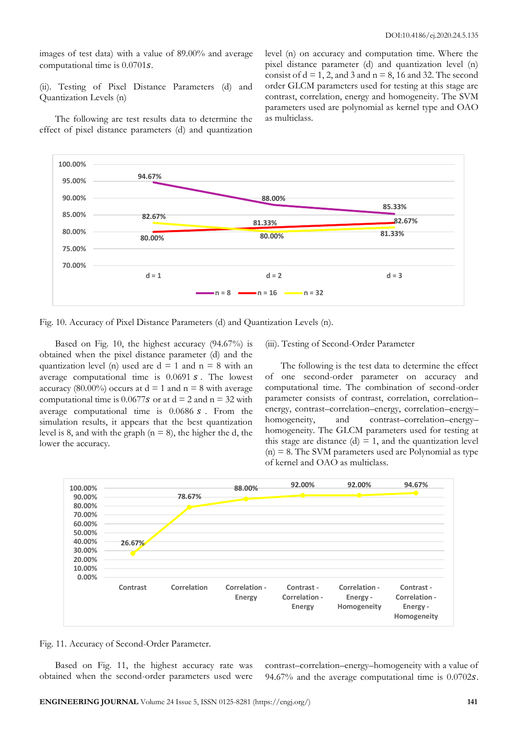images of test data) with a value of 89.00% and average computational time is  $0.0701$ *s*.

(ii). Testing of Pixel Distance Parameters (d) and Quantization Levels (n)

The following are test results data to determine the effect of pixel distance parameters (d) and quantization level (n) on accuracy and computation time. Where the pixel distance parameter (d) and quantization level (n) consist of  $d = 1, 2,$  and 3 and  $n = 8, 16$  and 32. The second order GLCM parameters used for testing at this stage are contrast, correlation, energy and homogeneity. The SVM parameters used are polynomial as kernel type and OAO as multiclass.



Fig. 10. Accuracy of Pixel Distance Parameters (d) and Quantization Levels (n).

Based on Fig. 10, the highest accuracy (94.67%) is obtained when the pixel distance parameter (d) and the quantization level (n) used are  $d = 1$  and  $n = 8$  with an average computational time is  $0.0691 \text{ s}$ . The lowest accuracy (80.00%) occurs at  $d = 1$  and  $n = 8$  with average computational time is  $0.0677s$  or at  $d = 2$  and  $n = 32$  with average computational time is  $0.0686$  **s**. From the simulation results, it appears that the best quantization level is 8, and with the graph  $(n = 8)$ , the higher the d, the lower the accuracy.

#### (iii). Testing of Second-Order Parameter

The following is the test data to determine the effect of one second-order parameter on accuracy and computational time. The combination of second-order parameter consists of contrast, correlation, correlation– energy, contrast–correlation–energy, correlation–energy– homogeneity, and contrast–correlation–energy– homogeneity. The GLCM parameters used for testing at this stage are distance  $(d) = 1$ , and the quantization level  $(n) = 8$ . The SVM parameters used are Polynomial as type of kernel and OAO as multiclass.



Fig. 11. Accuracy of Second-Order Parameter.

Based on Fig. 11, the highest accuracy rate was obtained when the second-order parameters used were

contrast–correlation–energy–homogeneity with a value of 94.67% and the average computational time is  $0.0702$ *s*.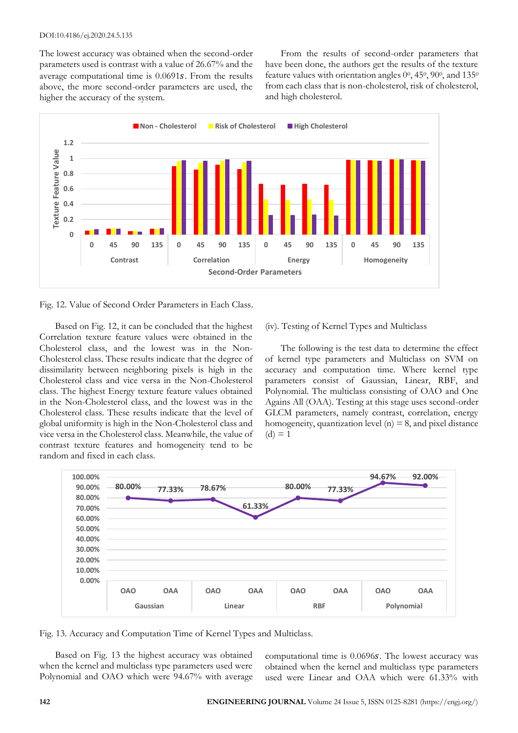#### DOI:10.4186/ej.2020.24.5.135

The lowest accuracy was obtained when the second-order parameters used is contrast with a value of 26.67% and the average computational time is 0.0691s. From the results above, the more second-order parameters are used, the higher the accuracy of the system.

From the results of second-order parameters that have been done, the authors get the results of the texture feature values with orientation angles  $0^0$ , 45<sup>0</sup>, 90<sup>0</sup>, and 135<sup>0</sup> from each class that is non-cholesterol, risk of cholesterol, and high cholesterol.



Fig. 12. Value of Second Order Parameters in Each Class.

Based on Fig. 12, it can be concluded that the highest Correlation texture feature values were obtained in the Cholesterol class, and the lowest was in the Non-Cholesterol class. These results indicate that the degree of dissimilarity between neighboring pixels is high in the Cholesterol class and vice versa in the Non-Cholesterol class. The highest Energy texture feature values obtained in the Non-Cholesterol class, and the lowest was in the Cholesterol class. These results indicate that the level of global uniformity is high in the Non-Cholesterol class and vice versa in the Cholesterol class. Meanwhile, the value of contrast texture features and homogeneity tend to be random and fixed in each class.

## (iv). Testing of Kernel Types and Multiclass

The following is the test data to determine the effect of kernel type parameters and Multiclass on SVM on accuracy and computation time. Where kernel type parameters consist of Gaussian, Linear, RBF, and Polynomial. The multiclass consisting of OAO and One Agains All (OAA). Testing at this stage uses second-order GLCM parameters, namely contrast, correlation, energy homogeneity, quantization level  $(n) = 8$ , and pixel distance  $(d) = 1$ 



Fig. 13. Accuracy and Computation Time of Kernel Types and Multiclass.

Based on Fig. 13 the highest accuracy was obtained when the kernel and multiclass type parameters used were Polynomial and OAO which were 94.67% with average computational time is 0.0696. The lowest accuracy was obtained when the kernel and multiclass type parameters used were Linear and OAA which were 61.33% with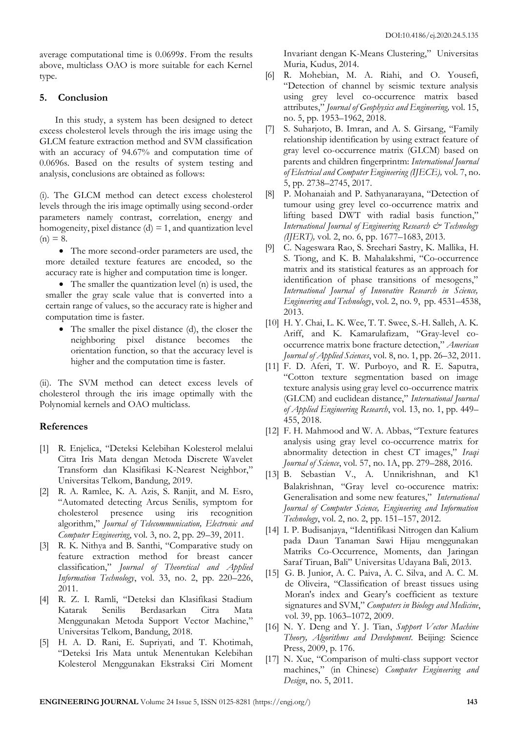average computational time is 0.0699s. From the results above, multiclass OAO is more suitable for each Kernel type.

## **5. Conclusion**

In this study, a system has been designed to detect excess cholesterol levels through the iris image using the GLCM feature extraction method and SVM classification with an accuracy of 94.67% and computation time of 0.0696s. Based on the results of system testing and analysis, conclusions are obtained as follows:

(i). The GLCM method can detect excess cholesterol levels through the iris image optimally using second-order parameters namely contrast, correlation, energy and homogeneity, pixel distance  $(d) = 1$ , and quantization level  $(n) = 8.$ 

• The more second-order parameters are used, the more detailed texture features are encoded, so the accuracy rate is higher and computation time is longer.

• The smaller the quantization level (n) is used, the smaller the gray scale value that is converted into a certain range of values, so the accuracy rate is higher and computation time is faster.

• The smaller the pixel distance (d), the closer the neighboring pixel distance becomes the orientation function, so that the accuracy level is higher and the computation time is faster.

(ii). The SVM method can detect excess levels of cholesterol through the iris image optimally with the Polynomial kernels and OAO multiclass.

## **References**

- [1] R. Enjelica, "Deteksi Kelebihan Kolesterol melalui Citra Iris Mata dengan Metoda Discrete Wavelet Transform dan Klasifikasi K-Nearest Neighbor," Universitas Telkom, Bandung, 2019.
- [2] R. A. Ramlee, K. A. Azis, S. Ranjit, and M. Esro, "Automated detecting Arcus Senilis, symptom for cholesterol presence using iris recognition algorithm," *Journal of Telecommunication, Electronic and Computer Engineering*, vol. 3, no. 2, pp. 29–39, 2011.
- [3] R. K. Nithya and B. Santhi, "Comparative study on feature extraction method for breast cancer classification," *Journal of Theoretical and Applied Information Technology*, vol. 33, no. 2, pp. 220–226, 2011.
- [4] R. Z. I. Ramli, "Deteksi dan Klasifikasi Stadium Katarak Senilis Berdasarkan Citra Mata Menggunakan Metoda Support Vector Machine," Universitas Telkom, Bandung, 2018.
- [5] H. A. D. Rani, E. Supriyati, and T. Khotimah, "Deteksi Iris Mata untuk Menentukan Kelebihan Kolesterol Menggunakan Ekstraksi Ciri Moment

Invariant dengan K-Means Clustering," Universitas Muria, Kudus, 2014.

- [6] R. Mohebian, M. A. Riahi, and O. Yousefi, "Detection of channel by seismic texture analysis using grey level co-occurrence matrix based attributes," *Journal of Geophysics and Engineering,* vol. 15, no. 5, pp. 1953–1962, 2018.
- [7] S. Suharjoto, B. Imran, and A. S. Girsang, "Family relationship identification by using extract feature of gray level co-occurrence matrix (GLCM) based on parents and children fingerprintm: *International Journal of Electrical and Computer Engineering (IJECE),* vol. 7, no. 5, pp. 2738–2745, 2017.
- [8] P. Mohanaiah and P. Sathyanarayana, "Detection of tumour using grey level co-occurrence matrix and lifting based DWT with radial basis function," *International Journal of Engineering Research & Technology (IJERT),* vol. 2, no. 6, pp. 1677–1683, 2013.
- [9] C. Nageswara Rao, S. Sreehari Sastry, K. Mallika, H. S. Tiong, and K. B. Mahalakshmi, "Co-occurrence matrix and its statistical features as an approach for identification of phase transitions of mesogens," *International Journal of Innovative Research in Science, Engineering and Technology*, vol. 2, no. 9, pp. 4531–4538, 2013.
- [10] H. Y. Chai, L. K. Wee, T. T. Swee, S.-H. Salleh, A. K. Ariff, and K. Kamarulafizam, "Gray-level cooccurrence matrix bone fracture detection," *American Journal of Applied Sciences*, vol. 8, no. 1, pp. 26–32, 2011.
- [11] F. D. Aferi, T. W. Purboyo, and R. E. Saputra, "Cotton texture segmentation based on image texture analysis using gray level co-occurrence matrix (GLCM) and euclidean distance," *International Journal of Applied Engineering Research*, vol. 13, no. 1, pp. 449– 455, 2018.
- [12] F. H. Mahmood and W. A. Abbas, "Texture features analysis using gray level co-occurrence matrix for abnormality detection in chest CT images," *Iraqi Journal of Science*, vol. 57, no. 1A, pp. 279–288, 2016.
- [13] B. Sebastian V., A. Unnikrishnan, and Kใ Balakrishnan, "Gray level co-occurence matrix: Generalisation and some new features," *International Journal of Computer Science, Engineering and Information Technology*, vol. 2, no. 2, pp. 151–157, 2012.
- [14] I. P. Budisanjaya, "Identifikasi Nitrogen dan Kalium pada Daun Tanaman Sawi Hijau menggunakan Matriks Co-Occurrence, Moments, dan Jaringan Saraf Tiruan, Bali" Universitas Udayana Bali, 2013.
- [15] G. B. Junior, A. C. Paiva, A. C. Silva, and A. C. M. de Oliveira, "Classification of breast tissues using Moran's index and Geary's coefficient as texture signatures and SVM," *Computers in Biology and Medicine*, vol. 39, pp. 1063–1072, 2009.
- [16] N. Y. Deng and Y. J. Tian, *Support Vector Machine Theory, Algorithms and Development*. Beijing: Science Press, 2009, p. 176.
- [17] N. Xue, "Comparison of multi-class support vector machines," (in Chinese) *Computer Engineering and Design*, no. 5, 2011.